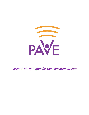

*Parents' Bill of Rights for the Education System*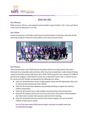

# **WHO WE ARE**

#### **Our Mission**

PAVE connects, informs, and empowers parent leaders to give families in DC a voice and choice in the vision for education in our city.

### **Our Vision**

Parents are partners and leaders with schools and policymakers to develop a diversity of safe, nurturing, and great schools for every child in every ward and community.



## **Our History**

PAVE was founded in April 2016 because we believe that for too long, parents have been informed of our education policy decisions after they have already been made instead of being invited to the table to help make them. Since 2016, PAVE has grown into a network of 3,000 DC parents and caregivers united behind a vision for an education system that is created not just for, but by and with families and guided by the following core values:

- *● Value #1: All families have access to high-quality schools and the information they need to make the best decisions for their children.*
- *● Value #2: All schools have adequate and equitable funding to support the needs of children and families.*
- *● Value #3: All students have a safe, healthy, and welcoming school environment.*
- *● Value #4: All students have access to out-of-school time and summer school programs that allow them to foster their passions and enrich their learning.*
- *● Value #5: All parents have the resources they need to support the success of their children at home and in school.*

**You can find more about PAVE parent leaders and their incredible work and accomplishments [here](https://www.dropbox.com/s/ln5qhdvb3y3vj88/PAVE%20Annual%20Report_Final_web.pdf?dl=0).**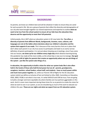

## **BACKGROUND**

As parents, we know our children best and will do whatever it takes to ensure they are cared for and succeed in life. We are a group of parents that reflect the diversity and demographics of our city who have brought together our shared experiences and expertise to outline **what we want to be true from the school system to ensure all our kids have the education they deserve and the opportunity to meet their full potential**.

Unfortunately, this is NOT what our education system in DC now looks like. **Too often, a diversity of parents from different Wards, backgrounds, incomes, races, cultures, and languages are not at the tables where decisions about our children's education and the system that supports it are made.** This is because of the many barriers that are in place that don't allow each parent in our city true access to participate and leads to an overly narrow definition of parent participation. It is not just about showing up at meetings, since if you come into our houses, **we show up for our children every single day** which distance learning during this pandemic has made all the more visible, as the school day is now ours to manage. **Our goal is to create a bill of rights for parents that creates an opportunity where we can ask things of the system - just like the system asks things of us.**

**In education, the opportunity to build a vision for what our system looks like is also often held in the hands of those who hold formal power but we all - parents, grandparents, caregivers, teachers, school leaders, school staff, and students - have so much power within and much more power together.** So, while our Parents' Bill of Rights for the DC education system (which we define as inclusive of but not limited to LEAs, DME, Committee on Education, OSSE, SBOE, PCSB) is not what is true now, it is what SHOULD and CAN be true, if we are going to build a stronger and more equitable city where families are true partners and leaders in this work. And it is even more important during these times for us as parents to create the vision for what we want to see in our system, as we are shouldering so much of the work to educate our children this year. **These are our rights and what we expect from our DC education system.**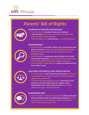

# **Parents' Bill of Rights**

## **COMMUNICATION AND PARTNERSHIP**

- I have the right to accessible, timely, and consistent communication from every school district and agency that makes decisions around education.
- I have the right to be a valued partner in my child's education.

## **TRANSPARENCY**

- I have the right to accessible, reliable, and comprehensive data about our schools so that I can make informed decisions and be able to impact and advocate for outcomes in our city's education system.
	- I have the right to transparency about staffing in our schools and in system leadership - and our system ensures that parent voice is represented in hiring and evaluation processes.
	- . I have the right to understand how schools are funded and how that funding is spent.



# **EQUITABLE RESOURCES AND OPPORTUNITIES**

- . I have the right to a fully funded education system so that all of our children have an excellent and well-rounded education in support of the whole child.
- The system provides equitable access to educational, social emotional, and enrichment resources, support, and/or opportunities both in and outside of school that will help children learn, grow, and succeed in life.



# **ADDRESSING BIAS**

. I have the right to an education system that addresses bias and historical injustice while also challenging assumptions that we have about our city's communities, schools, and people in order to ensure equity for our kids.

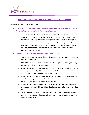

# **PARENTS' BILL OF RIGHTS FOR THE EDUCATION SYSTEM**

#### **COMMUNICATION AND PARTNERSHIP**

- **•** *I have the right to accessible, timely, and consistent communication from every school district and agency that makes decisions around education.*
	- The system supports schools to clearly and consistently communicate what our children are learning, the goals they need to meet, how they are progressing, and what support they are already getting or still need to achieve those goals.
	- When new issues or information arises, system leaders clearly and quickly articulate that information, potential solutions and/or plans to address issues or decisions, and ways that the community can get involved. This is especially important in times of crisis.
- *● I have the right to be a valued partner in my child's education.*
	- $\circ$  Parents are valued partners in their child's education at every level of the system and have shared power.
	- $\circ$  All families' input and concerns are equally valued regardless of race, ethnicity, income-level, education, or background.
	- System leaders work to seek out voices from marginalized communities that are not always heard - not just those that speak most often - and continuously assess who they are not hearing from or are unable to reach.
	- System leaders establish structures for two-way communication. Families have opportunities to get information from the system and to connect with system leaders to share their experiences, needs, and input.
	- System leaders regularly communicate what they have heard from families and other education stakeholders and how they have or planned to incorporate that input.
	- $\circ$  These opportunities are intentional and equitable to meet parents where they are and in the languages they speak. There are a diversity of methods and times for parents to engage.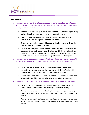

#### **TRANSPARENCY**

- *● I have the right to accessible, reliable, and comprehensive data about our schools so that I can make informed decisions and be able to impact and advocate for outcomes in our city's education system.*
	- $\circ$  Rather than parents having to search for this information, this data is proactively and consistently communicated to parents in accessible ways.
	- This information includes parent-friendly visuals and language, which is translated into the languages for each of our communities.
	- System leaders regularly create public opportunities for parents to discuss the data and co-develop solutions and plans.
	- The system is transparent about what data is collected about our children, its purpose and how it will be used, as well as how individual information will be protected, and the rationale behind any data that isn't available or cannot be shared. Parents are made aware of their rights to opt out of sharing data.
- *● I have the right to transparency about staffing in our schools and in system leadership and our system ensures that parent voice is represented in hiring and evaluation processes.*
	- These processes ensure the voices of parents of students who are most vulnerable or are not always heard are represented, including families with children with disabilities, who are at-risk, or are English Learners.
	- Parent voice is represented and valued in the hiring and evaluation processes for all levels of leadership - teachers, principals, central offices, and agencies.
- *● I have the right to understand how schools are funded and how that funding is spent.*
	- $\circ$  The system creates opportunities to inform parents about how the school funding process works and how they can engage in decision-making.
	- Parents see where and how much funding for our schools is spent including public and private dollars, and see how that compares with other schools in the system.
	- Parents are active partners in conversations about how to ensure the equitable allocation of resources in our schools and systems - including public and private dollars.